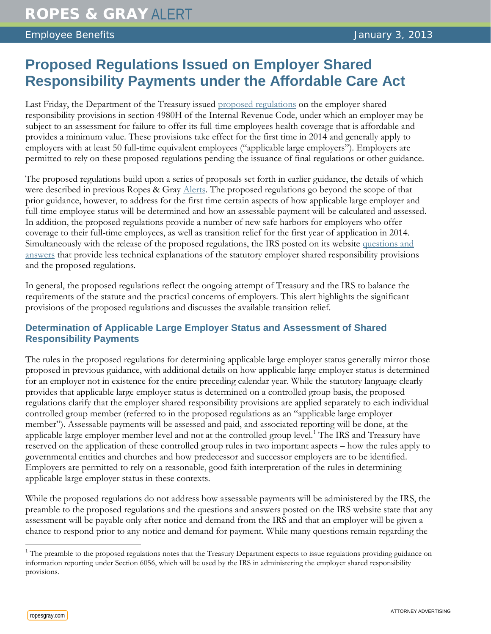# **Proposed Regulations Issued on Employer Shared Responsibility Payments under the Affordable Care Act**

Last Friday, the Department of the Treasury issued [proposed regulations](http://www.ropesgray.com/files/upload/20130103_AlertAttachment_1_REG-138006_12_NPRM.PDF) on the employer shared responsibility provisions in section 4980H of the Internal Revenue Code, under which an employer may be subject to an assessment for failure to offer its full-time employees health coverage that is affordable and provides a minimum value. These provisions take effect for the first time in 2014 and generally apply to employers with at least 50 full-time equivalent employees ("applicable large employers"). Employers are permitted to rely on these proposed regulations pending the issuance of final regulations or other guidance.

The proposed regulations build upon a series of proposals set forth in earlier guidance, the details of which were described in previous Ropes & Gray [Alerts.](http://www.ropesgray.com/files/Publication/e8722db9-e294-4727-a11f-e1c78747a231/Presentation/PublicationAttachment/fd62d894-2a73-4b7c-876f-e542a7460aa6/20120906_HRM_Alert.pdf) The proposed regulations go beyond the scope of that prior guidance, however, to address for the first time certain aspects of how applicable large employer and full-time employee status will be determined and how an assessable payment will be calculated and assessed. In addition, the proposed regulations provide a number of new safe harbors for employers who offer coverage to their full-time employees, as well as transition relief for the first year of application in 2014. Simultaneously with the release of the proposed regulations, the IRS posted on its website [questions and](http://www.ropesgray.com/files/upload/20130103_AlertAttachment2_QA_Employer_Shared_Responsibility_Provisions.pdf)  [answers](http://www.ropesgray.com/files/upload/20130103_AlertAttachment2_QA_Employer_Shared_Responsibility_Provisions.pdf) that provide less technical explanations of the statutory employer shared responsibility provisions and the proposed regulations.

In general, the proposed regulations reflect the ongoing attempt of Treasury and the IRS to balance the requirements of the statute and the practical concerns of employers. This alert highlights the significant provisions of the proposed regulations and discusses the available transition relief.

# **Determination of Applicable Large Employer Status and Assessment of Shared Responsibility Payments**

The rules in the proposed regulations for determining applicable large employer status generally mirror those proposed in previous guidance, with additional details on how applicable large employer status is determined for an employer not in existence for the entire preceding calendar year. While the statutory language clearly provides that applicable large employer status is determined on a controlled group basis, the proposed regulations clarify that the employer shared responsibility provisions are applied separately to each individual controlled group member (referred to in the proposed regulations as an "applicable large employer member"). Assessable payments will be assessed and paid, and associated reporting will be done, at the applicable large employer member level and not at the controlled group level.<sup>[1](#page-0-0)</sup> The IRS and Treasury have reserved on the application of these controlled group rules in two important aspects – how the rules apply to governmental entities and churches and how predecessor and successor employers are to be identified. Employers are permitted to rely on a reasonable, good faith interpretation of the rules in determining applicable large employer status in these contexts.

While the proposed regulations do not address how assessable payments will be administered by the IRS, the preamble to the proposed regulations and the questions and answers posted on the IRS website state that any assessment will be payable only after notice and demand from the IRS and that an employer will be given a chance to respond prior to any notice and demand for payment. While many questions remain regarding the

<span id="page-0-0"></span><sup>&</sup>lt;sup>1</sup> The preamble to the proposed regulations notes that the Treasury Department expects to issue regulations providing guidance on information reporting under Section 6056, which will be used by the IRS in administering the employer shared responsibility provisions.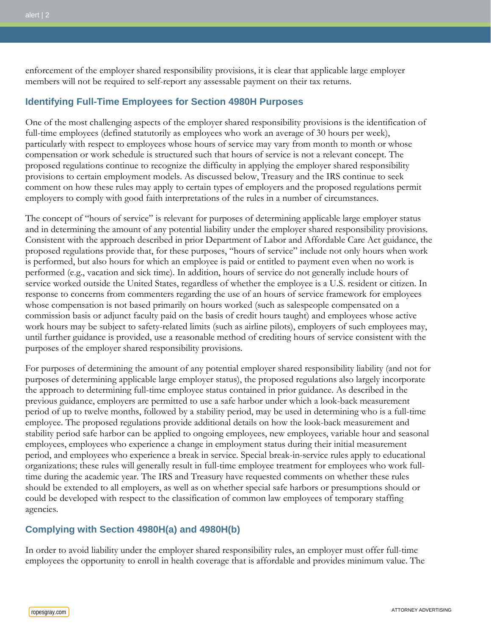enforcement of the employer shared responsibility provisions, it is clear that applicable large employer members will not be required to self-report any assessable payment on their tax returns.

# **Identifying Full-Time Employees for Section 4980H Purposes**

One of the most challenging aspects of the employer shared responsibility provisions is the identification of full-time employees (defined statutorily as employees who work an average of 30 hours per week), particularly with respect to employees whose hours of service may vary from month to month or whose compensation or work schedule is structured such that hours of service is not a relevant concept. The proposed regulations continue to recognize the difficulty in applying the employer shared responsibility provisions to certain employment models. As discussed below, Treasury and the IRS continue to seek comment on how these rules may apply to certain types of employers and the proposed regulations permit employers to comply with good faith interpretations of the rules in a number of circumstances.

The concept of "hours of service" is relevant for purposes of determining applicable large employer status and in determining the amount of any potential liability under the employer shared responsibility provisions. Consistent with the approach described in prior Department of Labor and Affordable Care Act guidance, the proposed regulations provide that, for these purposes, "hours of service" include not only hours when work is performed, but also hours for which an employee is paid or entitled to payment even when no work is performed (e.g., vacation and sick time). In addition, hours of service do not generally include hours of service worked outside the United States, regardless of whether the employee is a U.S. resident or citizen. In response to concerns from commenters regarding the use of an hours of service framework for employees whose compensation is not based primarily on hours worked (such as salespeople compensated on a commission basis or adjunct faculty paid on the basis of credit hours taught) and employees whose active work hours may be subject to safety-related limits (such as airline pilots), employers of such employees may, until further guidance is provided, use a reasonable method of crediting hours of service consistent with the purposes of the employer shared responsibility provisions.

For purposes of determining the amount of any potential employer shared responsibility liability (and not for purposes of determining applicable large employer status), the proposed regulations also largely incorporate the approach to determining full-time employee status contained in prior guidance. As described in the previous guidance, employers are permitted to use a safe harbor under which a look-back measurement period of up to twelve months, followed by a stability period, may be used in determining who is a full-time employee. The proposed regulations provide additional details on how the look-back measurement and stability period safe harbor can be applied to ongoing employees, new employees, variable hour and seasonal employees, employees who experience a change in employment status during their initial measurement period, and employees who experience a break in service. Special break-in-service rules apply to educational organizations; these rules will generally result in full-time employee treatment for employees who work fulltime during the academic year. The IRS and Treasury have requested comments on whether these rules should be extended to all employers, as well as on whether special safe harbors or presumptions should or could be developed with respect to the classification of common law employees of temporary staffing agencies.

# **Complying with Section 4980H(a) and 4980H(b)**

In order to avoid liability under the employer shared responsibility rules, an employer must offer full-time employees the opportunity to enroll in health coverage that is affordable and provides minimum value. The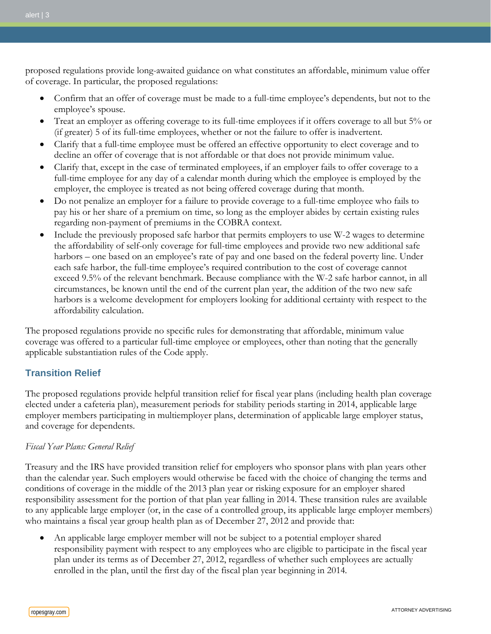proposed regulations provide long-awaited guidance on what constitutes an affordable, minimum value offer of coverage. In particular, the proposed regulations:

- Confirm that an offer of coverage must be made to a full-time employee's dependents, but not to the employee's spouse.
- Treat an employer as offering coverage to its full-time employees if it offers coverage to all but 5% or (if greater) 5 of its full-time employees, whether or not the failure to offer is inadvertent.
- Clarify that a full-time employee must be offered an effective opportunity to elect coverage and to decline an offer of coverage that is not affordable or that does not provide minimum value.
- Clarify that, except in the case of terminated employees, if an employer fails to offer coverage to a full-time employee for any day of a calendar month during which the employee is employed by the employer, the employee is treated as not being offered coverage during that month.
- Do not penalize an employer for a failure to provide coverage to a full-time employee who fails to pay his or her share of a premium on time, so long as the employer abides by certain existing rules regarding non-payment of premiums in the COBRA context.
- Include the previously proposed safe harbor that permits employers to use W-2 wages to determine the affordability of self-only coverage for full-time employees and provide two new additional safe harbors – one based on an employee's rate of pay and one based on the federal poverty line. Under each safe harbor, the full-time employee's required contribution to the cost of coverage cannot exceed 9.5% of the relevant benchmark. Because compliance with the W-2 safe harbor cannot, in all circumstances, be known until the end of the current plan year, the addition of the two new safe harbors is a welcome development for employers looking for additional certainty with respect to the affordability calculation.

The proposed regulations provide no specific rules for demonstrating that affordable, minimum value coverage was offered to a particular full-time employee or employees, other than noting that the generally applicable substantiation rules of the Code apply.

# **Transition Relief**

The proposed regulations provide helpful transition relief for fiscal year plans (including health plan coverage elected under a cafeteria plan), measurement periods for stability periods starting in 2014, applicable large employer members participating in multiemployer plans, determination of applicable large employer status, and coverage for dependents.

## *Fiscal Year Plans: General Relief*

Treasury and the IRS have provided transition relief for employers who sponsor plans with plan years other than the calendar year. Such employers would otherwise be faced with the choice of changing the terms and conditions of coverage in the middle of the 2013 plan year or risking exposure for an employer shared responsibility assessment for the portion of that plan year falling in 2014. These transition rules are available to any applicable large employer (or, in the case of a controlled group, its applicable large employer members) who maintains a fiscal year group health plan as of December 27, 2012 and provide that:

• An applicable large employer member will not be subject to a potential employer shared responsibility payment with respect to any employees who are eligible to participate in the fiscal year plan under its terms as of December 27, 2012, regardless of whether such employees are actually enrolled in the plan, until the first day of the fiscal plan year beginning in 2014.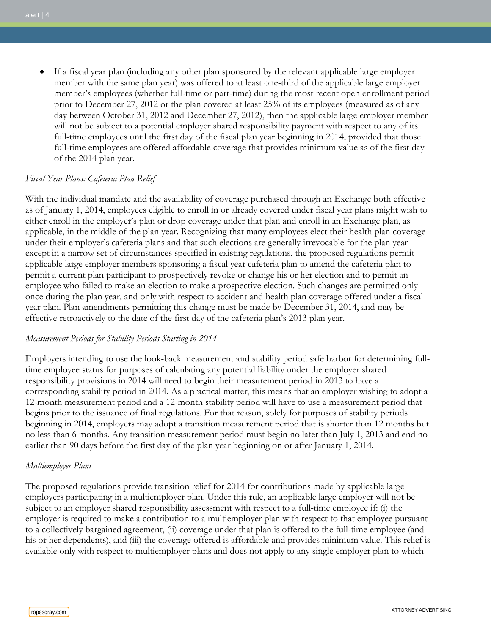• If a fiscal year plan (including any other plan sponsored by the relevant applicable large employer member with the same plan year) was offered to at least one-third of the applicable large employer member's employees (whether full-time or part-time) during the most recent open enrollment period prior to December 27, 2012 or the plan covered at least 25% of its employees (measured as of any day between October 31, 2012 and December 27, 2012), then the applicable large employer member will not be subject to a potential employer shared responsibility payment with respect to any of its full-time employees until the first day of the fiscal plan year beginning in 2014, provided that those full-time employees are offered affordable coverage that provides minimum value as of the first day of the 2014 plan year.

## *Fiscal Year Plans: Cafeteria Plan Relief*

With the individual mandate and the availability of coverage purchased through an Exchange both effective as of January 1, 2014, employees eligible to enroll in or already covered under fiscal year plans might wish to either enroll in the employer's plan or drop coverage under that plan and enroll in an Exchange plan, as applicable, in the middle of the plan year. Recognizing that many employees elect their health plan coverage under their employer's cafeteria plans and that such elections are generally irrevocable for the plan year except in a narrow set of circumstances specified in existing regulations, the proposed regulations permit applicable large employer members sponsoring a fiscal year cafeteria plan to amend the cafeteria plan to permit a current plan participant to prospectively revoke or change his or her election and to permit an employee who failed to make an election to make a prospective election. Such changes are permitted only once during the plan year, and only with respect to accident and health plan coverage offered under a fiscal year plan. Plan amendments permitting this change must be made by December 31, 2014, and may be effective retroactively to the date of the first day of the cafeteria plan's 2013 plan year.

#### *Measurement Periods for Stability Periods Starting in 2014*

Employers intending to use the look-back measurement and stability period safe harbor for determining fulltime employee status for purposes of calculating any potential liability under the employer shared responsibility provisions in 2014 will need to begin their measurement period in 2013 to have a corresponding stability period in 2014. As a practical matter, this means that an employer wishing to adopt a 12-month measurement period and a 12-month stability period will have to use a measurement period that begins prior to the issuance of final regulations. For that reason, solely for purposes of stability periods beginning in 2014, employers may adopt a transition measurement period that is shorter than 12 months but no less than 6 months. Any transition measurement period must begin no later than July 1, 2013 and end no earlier than 90 days before the first day of the plan year beginning on or after January 1, 2014.

#### *Multiemployer Plans*

The proposed regulations provide transition relief for 2014 for contributions made by applicable large employers participating in a multiemployer plan. Under this rule, an applicable large employer will not be subject to an employer shared responsibility assessment with respect to a full-time employee if: (i) the employer is required to make a contribution to a multiemployer plan with respect to that employee pursuant to a collectively bargained agreement, (ii) coverage under that plan is offered to the full-time employee (and his or her dependents), and (iii) the coverage offered is affordable and provides minimum value. This relief is available only with respect to multiemployer plans and does not apply to any single employer plan to which